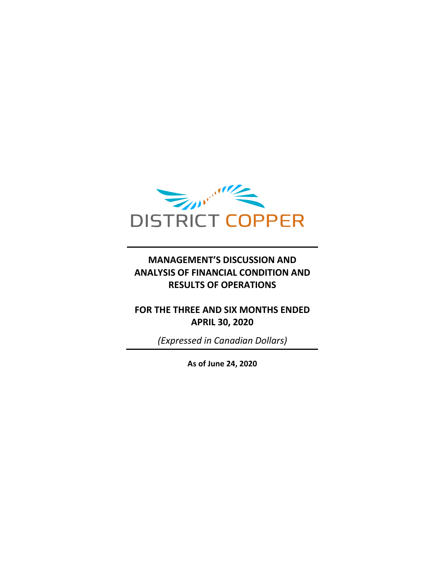

### **MANAGEMENT'S DISCUSSION AND ANALYSIS OF FINANCIAL CONDITION AND RESULTS OF OPERATIONS**

### **FOR THE THREE AND SIX MONTHS ENDED APRIL 30, 2020**

*(Expressed in Canadian Dollars)*

**As of June 24, 2020**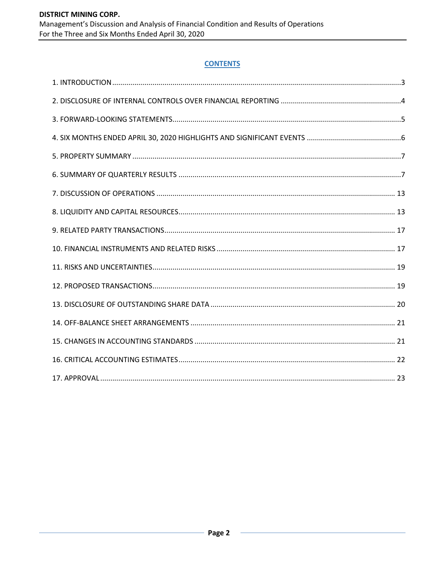### **CONTENTS**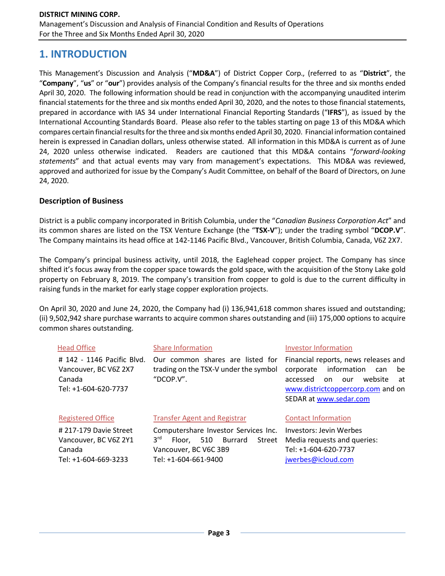## **1. INTRODUCTION**

This Management's Discussion and Analysis ("**MD&A**") of District Copper Corp., (referred to as "**District**", the "**Company**", "**us**" or "**our**") provides analysis of the Company's financial results for the three and six months ended April 30, 2020. The following information should be read in conjunction with the accompanying unaudited interim financial statements for the three and six months ended April 30, 2020, and the notes to those financial statements, prepared in accordance with IAS 34 under International Financial Reporting Standards ("**IFRS**"), as issued by the International Accounting Standards Board. Please also refer to the tables starting on page 13 of this MD&A which compares certain financial results for the three and six months ended April 30, 2020. Financial information contained herein is expressed in Canadian dollars, unless otherwise stated. All information in this MD&A is current as of June 24, 2020 unless otherwise indicated. Readers are cautioned that this MD&A contains "*forward-looking statements*" and that actual events may vary from management's expectations. This MD&A was reviewed, approved and authorized for issue by the Company's Audit Committee, on behalf of the Board of Directors, on June 24, 2020.

### **Description of Business**

District is a public company incorporated in British Columbia, under the "*Canadian Business Corporation Act*" and its common shares are listed on the TSX Venture Exchange (the "**TSX-V**"); under the trading symbol "**DCOP.V**". The Company maintains its head office at 142-1146 Pacific Blvd., Vancouver, British Columbia, Canada, V6Z 2X7.

The Company's principal business activity, until 2018, the Eaglehead copper project. The Company has since shifted it's focus away from the copper space towards the gold space, with the acquisition of the Stony Lake gold property on February 8, 2019. The company's transition from copper to gold is due to the current difficulty in raising funds in the market for early stage copper exploration projects.

On April 30, 2020 and June 24, 2020, the Company had (i) 136,941,618 common shares issued and outstanding; (ii) 9,502,942 share purchase warrants to acquire common shares outstanding and (iii) 175,000 options to acquire common shares outstanding.

| <b>Head Office</b>                                                                    | <b>Share Information</b>                                                                                                                       | <b>Investor Information</b>                                                                                                                                                            |
|---------------------------------------------------------------------------------------|------------------------------------------------------------------------------------------------------------------------------------------------|----------------------------------------------------------------------------------------------------------------------------------------------------------------------------------------|
| # 142 - 1146 Pacific Blvd.<br>Vancouver, BC V6Z 2X7<br>Canada<br>Tel: +1-604-620-7737 | Our common shares are listed for<br>trading on the TSX-V under the symbol<br>"DCOP. $V$ ".                                                     | Financial reports, news releases and<br>information<br>corporate<br>be<br>can<br>website<br>accessed<br>our<br>at<br>on<br>www.districtcoppercorp.com and on<br>SEDAR at www.sedar.com |
| <b>Registered Office</b>                                                              | <b>Transfer Agent and Registrar</b>                                                                                                            | <b>Contact Information</b>                                                                                                                                                             |
| # 217-179 Davie Street<br>Vancouver, BC V6Z 2Y1<br>Canada<br>Tel: +1-604-669-3233     | Computershare Investor Services Inc.<br>3 <sup>rd</sup><br>Burrard<br>510<br>Street<br>Floor.<br>Vancouver, BC V6C 3B9<br>Tel: +1-604-661-9400 | Investors: Jevin Werbes<br>Media requests and queries:<br>Tel: +1-604-620-7737<br>jwerbes@icloud.com                                                                                   |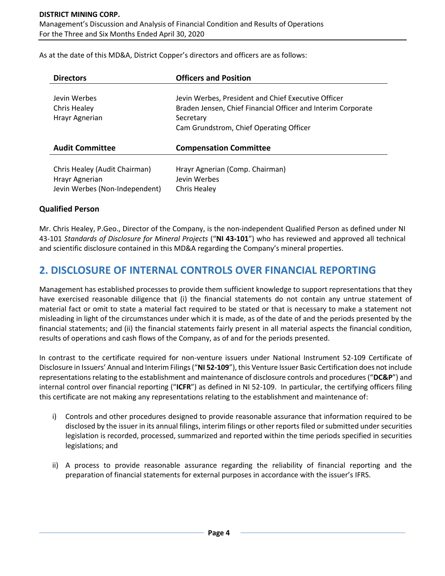As at the date of this MD&A, District Copper's directors and officers are as follows:

| <b>Directors</b>                                                                  | <b>Officers and Position</b>                                                                                                                                                |
|-----------------------------------------------------------------------------------|-----------------------------------------------------------------------------------------------------------------------------------------------------------------------------|
| Jevin Werbes<br>Chris Healey<br>Hrayr Agnerian                                    | Jevin Werbes, President and Chief Executive Officer<br>Braden Jensen, Chief Financial Officer and Interim Corporate<br>Secretary<br>Cam Grundstrom, Chief Operating Officer |
| <b>Audit Committee</b>                                                            | <b>Compensation Committee</b>                                                                                                                                               |
| Chris Healey (Audit Chairman)<br>Hrayr Agnerian<br>Jevin Werbes (Non-Independent) | Hrayr Agnerian (Comp. Chairman)<br>Jevin Werbes<br>Chris Healey                                                                                                             |

### **Qualified Person**

Mr. Chris Healey, P.Geo., Director of the Company, is the non-independent Qualified Person as defined under NI 43-101 *Standards of Disclosure for Mineral Projects* ("**NI 43-101**") who has reviewed and approved all technical and scientific disclosure contained in this MD&A regarding the Company's mineral properties.

### **2. DISCLOSURE OF INTERNAL CONTROLS OVER FINANCIAL REPORTING**

Management has established processes to provide them sufficient knowledge to support representations that they have exercised reasonable diligence that (i) the financial statements do not contain any untrue statement of material fact or omit to state a material fact required to be stated or that is necessary to make a statement not misleading in light of the circumstances under which it is made, as of the date of and the periods presented by the financial statements; and (ii) the financial statements fairly present in all material aspects the financial condition, results of operations and cash flows of the Company, as of and for the periods presented.

In contrast to the certificate required for non-venture issuers under National Instrument 52-109 Certificate of Disclosure in Issuers' Annual and Interim Filings ("**NI 52-109**"), this Venture Issuer Basic Certification does not include representations relating to the establishment and maintenance of disclosure controls and procedures ("**DC&P**") and internal control over financial reporting ("**ICFR**") as defined in NI 52-109. In particular, the certifying officers filing this certificate are not making any representations relating to the establishment and maintenance of:

- i) Controls and other procedures designed to provide reasonable assurance that information required to be disclosed by the issuer in its annual filings, interim filings or other reports filed or submitted under securities legislation is recorded, processed, summarized and reported within the time periods specified in securities legislations; and
- ii) A process to provide reasonable assurance regarding the reliability of financial reporting and the preparation of financial statements for external purposes in accordance with the issuer's IFRS.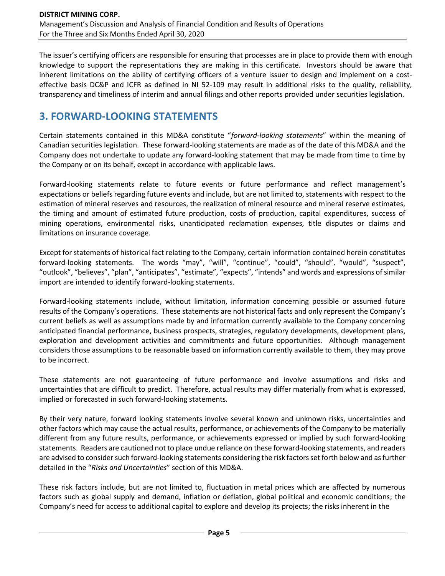The issuer's certifying officers are responsible for ensuring that processes are in place to provide them with enough knowledge to support the representations they are making in this certificate. Investors should be aware that inherent limitations on the ability of certifying officers of a venture issuer to design and implement on a costeffective basis DC&P and ICFR as defined in NI 52-109 may result in additional risks to the quality, reliability, transparency and timeliness of interim and annual filings and other reports provided under securities legislation.

# **3. FORWARD-LOOKING STATEMENTS**

Certain statements contained in this MD&A constitute "*forward-looking statements*" within the meaning of Canadian securities legislation. These forward-looking statements are made as of the date of this MD&A and the Company does not undertake to update any forward-looking statement that may be made from time to time by the Company or on its behalf, except in accordance with applicable laws.

Forward-looking statements relate to future events or future performance and reflect management's expectations or beliefs regarding future events and include, but are not limited to, statements with respect to the estimation of mineral reserves and resources, the realization of mineral resource and mineral reserve estimates, the timing and amount of estimated future production, costs of production, capital expenditures, success of mining operations, environmental risks, unanticipated reclamation expenses, title disputes or claims and limitations on insurance coverage.

Except for statements of historical fact relating to the Company, certain information contained herein constitutes forward-looking statements. The words "may", "will", "continue", "could", "should", "would", "suspect", "outlook", "believes", "plan", "anticipates", "estimate", "expects", "intends" and words and expressions of similar import are intended to identify forward-looking statements.

Forward-looking statements include, without limitation, information concerning possible or assumed future results of the Company's operations. These statements are not historical facts and only represent the Company's current beliefs as well as assumptions made by and information currently available to the Company concerning anticipated financial performance, business prospects, strategies, regulatory developments, development plans, exploration and development activities and commitments and future opportunities. Although management considers those assumptions to be reasonable based on information currently available to them, they may prove to be incorrect.

These statements are not guaranteeing of future performance and involve assumptions and risks and uncertainties that are difficult to predict. Therefore, actual results may differ materially from what is expressed, implied or forecasted in such forward-looking statements.

By their very nature, forward looking statements involve several known and unknown risks, uncertainties and other factors which may cause the actual results, performance, or achievements of the Company to be materially different from any future results, performance, or achievements expressed or implied by such forward-looking statements. Readers are cautioned not to place undue reliance on these forward-looking statements, and readers are advised to consider such forward-looking statements considering the risk factors set forth below and as further detailed in the "*Risks and Uncertainties*" section of this MD&A.

These risk factors include, but are not limited to, fluctuation in metal prices which are affected by numerous factors such as global supply and demand, inflation or deflation, global political and economic conditions; the Company's need for access to additional capital to explore and develop its projects; the risks inherent in the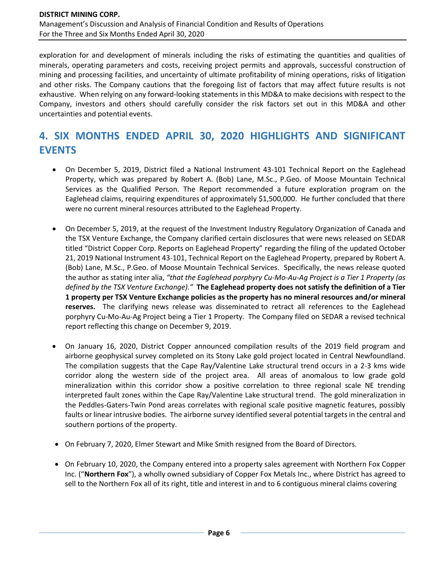exploration for and development of minerals including the risks of estimating the quantities and qualities of minerals, operating parameters and costs, receiving project permits and approvals, successful construction of mining and processing facilities, and uncertainty of ultimate profitability of mining operations, risks of litigation and other risks. The Company cautions that the foregoing list of factors that may affect future results is not exhaustive. When relying on any forward-looking statements in this MD&A to make decisions with respect to the Company, investors and others should carefully consider the risk factors set out in this MD&A and other uncertainties and potential events.

# **4. SIX MONTHS ENDED APRIL 30, 2020 HIGHLIGHTS AND SIGNIFICANT EVENTS**

- On December 5, 2019, District filed a National Instrument 43-101 Technical Report on the Eaglehead Property, which was prepared by Robert A. (Bob) Lane, M.Sc., P.Geo. of Moose Mountain Technical Services as the Qualified Person. The Report recommended a future exploration program on the Eaglehead claims, requiring expenditures of approximately \$1,500,000. He further concluded that there were no current mineral resources attributed to the Eaglehead Property.
- On December 5, 2019, at the request of the Investment Industry Regulatory Organization of Canada and the TSX Venture Exchange, the Company clarified certain disclosures that were news released on SEDAR titled "District Copper Corp. Reports on Eaglehead Property" regarding the filing of the updated October 21, 2019 National Instrument 43-101, Technical Report on the Eaglehead Property, prepared by Robert A. (Bob) Lane, M.Sc., P.Geo. of Moose Mountain Technical Services. Specifically, the news release quoted the author as stating inter alia, *"that the Eaglehead porphyry Cu-Mo-Au-Ag Project is a Tier 1 Property (as defined by the TSX Venture Exchange)."* **The Eaglehead property does not satisfy the definition of a Tier 1 property per TSX Venture Exchange policies as the property has no mineral resources and/or mineral reserves.** The clarifying news release was disseminated to retract all references to the Eaglehead porphyry Cu-Mo-Au-Ag Project being a Tier 1 Property. The Company filed on SEDAR a revised technical report reflecting this change on December 9, 2019.
- On January 16, 2020, District Copper announced compilation results of the 2019 field program and airborne geophysical survey completed on its Stony Lake gold project located in Central Newfoundland. The compilation suggests that the Cape Ray/Valentine Lake structural trend occurs in a 2-3 kms wide corridor along the western side of the project area. All areas of anomalous to low grade gold mineralization within this corridor show a positive correlation to three regional scale NE trending interpreted fault zones within the Cape Ray/Valentine Lake structural trend. The gold mineralization in the Peddles-Gaters-Twin Pond areas correlates with regional scale positive magnetic features, possibly faults or linear intrusive bodies. The airborne survey identified several potential targets in the central and southern portions of the property.
- On February 7, 2020, Elmer Stewart and Mike Smith resigned from the Board of Directors.
- On February 10, 2020, the Company entered into a property sales agreement with Northern Fox Copper Inc. ("**Northern Fox**"), a wholly owned subsidiary of Copper Fox Metals Inc., where District has agreed to sell to the Northern Fox all of its right, title and interest in and to 6 contiguous mineral claims covering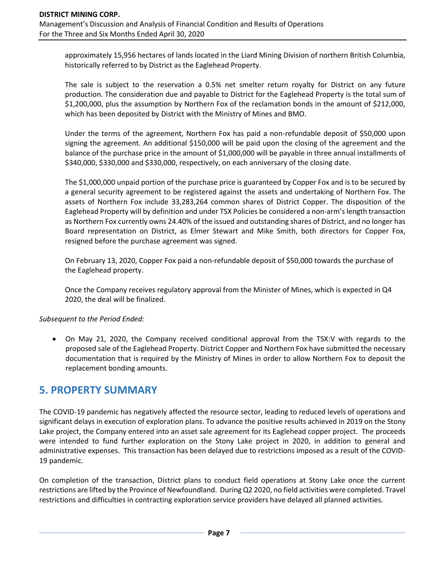approximately 15,956 hectares of lands located in the Liard Mining Division of northern British Columbia, historically referred to by District as the Eaglehead Property.

The sale is subject to the reservation a 0.5% net smelter return royalty for District on any future production. The consideration due and payable to District for the Eaglehead Property is the total sum of \$1,200,000, plus the assumption by Northern Fox of the reclamation bonds in the amount of \$212,000, which has been deposited by District with the Ministry of Mines and BMO.

Under the terms of the agreement, Northern Fox has paid a non-refundable deposit of \$50,000 upon signing the agreement. An additional \$150,000 will be paid upon the closing of the agreement and the balance of the purchase price in the amount of \$1,000,000 will be payable in three annual installments of \$340,000, \$330,000 and \$330,000, respectively, on each anniversary of the closing date.

The \$1,000,000 unpaid portion of the purchase price is guaranteed by Copper Fox and is to be secured by a general security agreement to be registered against the assets and undertaking of Northern Fox. The assets of Northern Fox include 33,283,264 common shares of District Copper. The disposition of the Eaglehead Property will by definition and under TSX Policies be considered a non-arm's length transaction as Northern Fox currently owns 24.40% of the issued and outstanding shares of District, and no longer has Board representation on District, as Elmer Stewart and Mike Smith, both directors for Copper Fox, resigned before the purchase agreement was signed.

On February 13, 2020, Copper Fox paid a non-refundable deposit of \$50,000 towards the purchase of the Eaglehead property.

Once the Company receives regulatory approval from the Minister of Mines, which is expected in Q4 2020, the deal will be finalized.

### *Subsequent to the Period Ended:*

• On May 21, 2020, the Company received conditional approval from the TSX:V with regards to the proposed sale of the Eaglehead Property. District Copper and Northern Fox have submitted the necessary documentation that is required by the Ministry of Mines in order to allow Northern Fox to deposit the replacement bonding amounts.

### **5. PROPERTY SUMMARY**

The COVID-19 pandemic has negatively affected the resource sector, leading to reduced levels of operations and significant delays in execution of exploration plans. To advance the positive results achieved in 2019 on the Stony Lake project, the Company entered into an asset sale agreement for its Eaglehead copper project. The proceeds were intended to fund further exploration on the Stony Lake project in 2020, in addition to general and administrative expenses. This transaction has been delayed due to restrictions imposed as a result of the COVID-19 pandemic.

On completion of the transaction, District plans to conduct field operations at Stony Lake once the current restrictions are lifted by the Province of Newfoundland. During Q2 2020, no field activities were completed. Travel restrictions and difficulties in contracting exploration service providers have delayed all planned activities.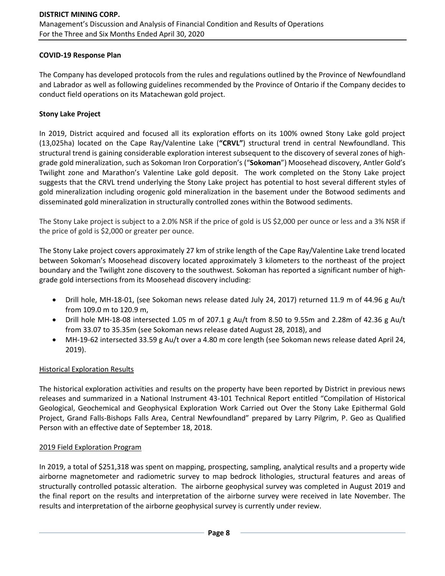### **COVID-19 Response Plan**

The Company has developed protocols from the rules and regulations outlined by the Province of Newfoundland and Labrador as well as following guidelines recommended by the Province of Ontario if the Company decides to conduct field operations on its Matachewan gold project.

### **Stony Lake Project**

In 2019, District acquired and focused all its exploration efforts on its 100% owned Stony Lake gold project (13,025ha) located on the Cape Ray/Valentine Lake (**"CRVL"**) structural trend in central Newfoundland. This structural trend is gaining considerable exploration interest subsequent to the discovery of several zones of highgrade gold mineralization, such as Sokoman Iron Corporation's ("**Sokoman**") Moosehead discovery, Antler Gold's Twilight zone and Marathon's Valentine Lake gold deposit. The work completed on the Stony Lake project suggests that the CRVL trend underlying the Stony Lake project has potential to host several different styles of gold mineralization including orogenic gold mineralization in the basement under the Botwood sediments and disseminated gold mineralization in structurally controlled zones within the Botwood sediments.

The Stony Lake project is subject to a 2.0% NSR if the price of gold is US \$2,000 per ounce or less and a 3% NSR if the price of gold is \$2,000 or greater per ounce.

The Stony Lake project covers approximately 27 km of strike length of the Cape Ray/Valentine Lake trend located between Sokoman's Moosehead discovery located approximately 3 kilometers to the northeast of the project boundary and the Twilight zone discovery to the southwest. Sokoman has reported a significant number of highgrade gold intersections from its Moosehead discovery including:

- Drill hole, MH-18-01, (see Sokoman news release dated July 24, 2017) returned 11.9 m of 44.96 g Au/t from 109.0 m to 120.9 m,
- Drill hole MH-18-08 intersected 1.05 m of 207.1 g Au/t from 8.50 to 9.55m and 2.28m of 42.36 g Au/t from 33.07 to 35.35m (see Sokoman news release dated August 28, 2018), and
- MH-19-62 intersected 33.59 g Au/t over a 4.80 m core length (see Sokoman news release dated April 24, 2019).

### **Historical Exploration Results**

The historical exploration activities and results on the property have been reported by District in previous news releases and summarized in a National Instrument 43-101 Technical Report entitled "Compilation of Historical Geological, Geochemical and Geophysical Exploration Work Carried out Over the Stony Lake Epithermal Gold Project, Grand Falls-Bishops Falls Area, Central Newfoundland" prepared by Larry Pilgrim, P. Geo as Qualified Person with an effective date of September 18, 2018.

#### 2019 Field Exploration Program

In 2019, a total of \$251,318 was spent on mapping, prospecting, sampling, analytical results and a property wide airborne magnetometer and radiometric survey to map bedrock lithologies, structural features and areas of structurally controlled potassic alteration. The airborne geophysical survey was completed in August 2019 and the final report on the results and interpretation of the airborne survey were received in late November. The results and interpretation of the airborne geophysical survey is currently under review.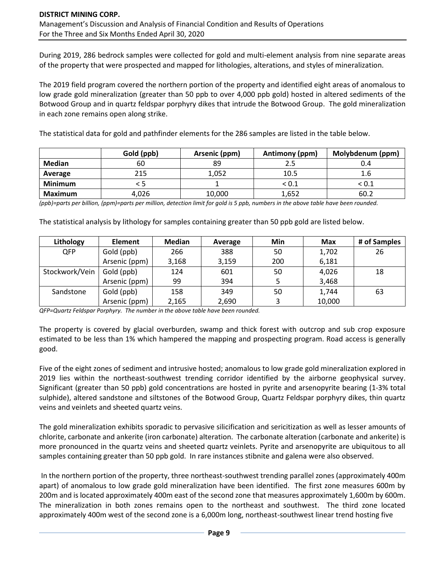During 2019, 286 bedrock samples were collected for gold and multi-element analysis from nine separate areas of the property that were prospected and mapped for lithologies, alterations, and styles of mineralization.

The 2019 field program covered the northern portion of the property and identified eight areas of anomalous to low grade gold mineralization (greater than 50 ppb to over 4,000 ppb gold) hosted in altered sediments of the Botwood Group and in quartz feldspar porphyry dikes that intrude the Botwood Group. The gold mineralization in each zone remains open along strike.

The statistical data for gold and pathfinder elements for the 286 samples are listed in the table below.

|                | Gold (ppb) | Arsenic (ppm) | Antimony (ppm) | Molybdenum (ppm) |
|----------------|------------|---------------|----------------|------------------|
| Median         | 60         | 89            |                | 0.4              |
| Average        | 215        | 1,052         | 10.5           | 1.6              |
| <b>Minimum</b> |            |               | < 0.1          | < 0.1            |
| <b>Maximum</b> | 4,026      | 10,000        | 1,652          | 60.2             |

*(ppb)=parts per billion, (ppm)=parts per million, detection limit for gold is 5 ppb, numbers in the above table have been rounded.*

The statistical analysis by lithology for samples containing greater than 50 ppb gold are listed below.

| Lithology      | Element       | <b>Median</b> | Average | Min | <b>Max</b> | # of Samples |
|----------------|---------------|---------------|---------|-----|------------|--------------|
| <b>QFP</b>     | Gold (ppb)    | 266           | 388     | 50  | 1,702      | 26           |
|                | Arsenic (ppm) | 3,168         | 3,159   | 200 | 6,181      |              |
| Stockwork/Vein | Gold (ppb)    | 124           | 601     | 50  | 4,026      | 18           |
|                | Arsenic (ppm) | 99            | 394     |     | 3,468      |              |
| Sandstone      | Gold (ppb)    | 158           | 349     | 50  | 1,744      | 63           |
|                | Arsenic (ppm) | 2,165         | 2,690   |     | 10,000     |              |

*QFP=Quartz Feldspar Porphyry. The number in the above table have been rounded.*

The property is covered by glacial overburden, swamp and thick forest with outcrop and sub crop exposure estimated to be less than 1% which hampered the mapping and prospecting program. Road access is generally good.

Five of the eight zones of sediment and intrusive hosted; anomalous to low grade gold mineralization explored in 2019 lies within the northeast-southwest trending corridor identified by the airborne geophysical survey. Significant (greater than 50 ppb) gold concentrations are hosted in pyrite and arsenopyrite bearing (1-3% total sulphide), altered sandstone and siltstones of the Botwood Group, Quartz Feldspar porphyry dikes, thin quartz veins and veinlets and sheeted quartz veins.

The gold mineralization exhibits sporadic to pervasive silicification and sericitization as well as lesser amounts of chlorite, carbonate and ankerite (iron carbonate) alteration. The carbonate alteration (carbonate and ankerite) is more pronounced in the quartz veins and sheeted quartz veinlets. Pyrite and arsenopyrite are ubiquitous to all samples containing greater than 50 ppb gold. In rare instances stibnite and galena were also observed.

In the northern portion of the property, three northeast-southwest trending parallel zones (approximately 400m apart) of anomalous to low grade gold mineralization have been identified. The first zone measures 600m by 200m and is located approximately 400m east of the second zone that measures approximately 1,600m by 600m. The mineralization in both zones remains open to the northeast and southwest. The third zone located approximately 400m west of the second zone is a 6,000m long, northeast-southwest linear trend hosting five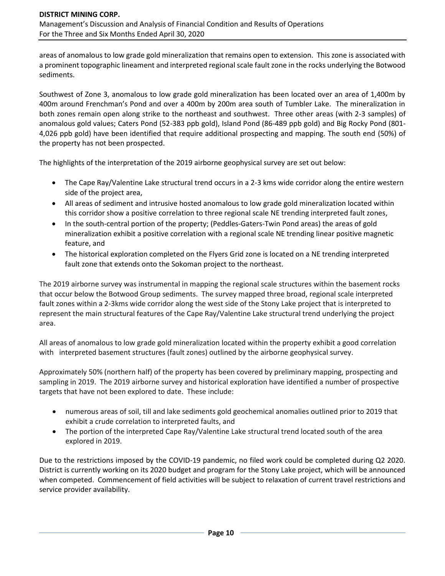areas of anomalous to low grade gold mineralization that remains open to extension. This zone is associated with a prominent topographic lineament and interpreted regional scale fault zone in the rocks underlying the Botwood sediments.

Southwest of Zone 3, anomalous to low grade gold mineralization has been located over an area of 1,400m by 400m around Frenchman's Pond and over a 400m by 200m area south of Tumbler Lake. The mineralization in both zones remain open along strike to the northeast and southwest. Three other areas (with 2-3 samples) of anomalous gold values; Caters Pond (52-383 ppb gold), Island Pond (86-489 ppb gold) and Big Rocky Pond (801- 4,026 ppb gold) have been identified that require additional prospecting and mapping. The south end (50%) of the property has not been prospected.

The highlights of the interpretation of the 2019 airborne geophysical survey are set out below:

- The Cape Ray/Valentine Lake structural trend occurs in a 2-3 kms wide corridor along the entire western side of the project area,
- All areas of sediment and intrusive hosted anomalous to low grade gold mineralization located within this corridor show a positive correlation to three regional scale NE trending interpreted fault zones,
- In the south-central portion of the property; (Peddles-Gaters-Twin Pond areas) the areas of gold mineralization exhibit a positive correlation with a regional scale NE trending linear positive magnetic feature, and
- The historical exploration completed on the Flyers Grid zone is located on a NE trending interpreted fault zone that extends onto the Sokoman project to the northeast.

The 2019 airborne survey was instrumental in mapping the regional scale structures within the basement rocks that occur below the Botwood Group sediments. The survey mapped three broad, regional scale interpreted fault zones within a 2-3kms wide corridor along the west side of the Stony Lake project that is interpreted to represent the main structural features of the Cape Ray/Valentine Lake structural trend underlying the project area.

All areas of anomalous to low grade gold mineralization located within the property exhibit a good correlation with interpreted basement structures (fault zones) outlined by the airborne geophysical survey.

Approximately 50% (northern half) of the property has been covered by preliminary mapping, prospecting and sampling in 2019. The 2019 airborne survey and historical exploration have identified a number of prospective targets that have not been explored to date. These include:

- numerous areas of soil, till and lake sediments gold geochemical anomalies outlined prior to 2019 that exhibit a crude correlation to interpreted faults, and
- The portion of the interpreted Cape Ray/Valentine Lake structural trend located south of the area explored in 2019.

Due to the restrictions imposed by the COVID-19 pandemic, no filed work could be completed during Q2 2020. District is currently working on its 2020 budget and program for the Stony Lake project, which will be announced when competed. Commencement of field activities will be subject to relaxation of current travel restrictions and service provider availability.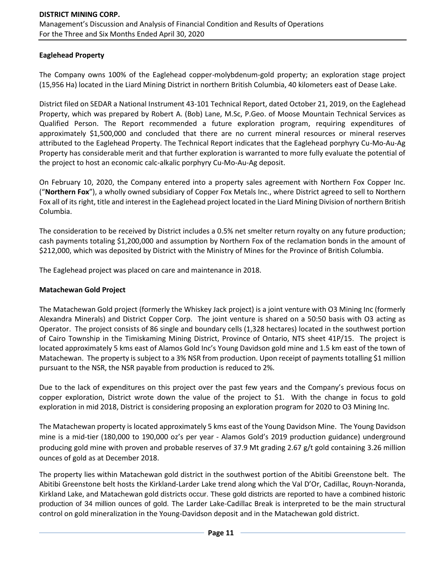### **Eaglehead Property**

The Company owns 100% of the Eaglehead copper-molybdenum-gold property; an exploration stage project (15,956 Ha) located in the Liard Mining District in northern British Columbia, 40 kilometers east of Dease Lake.

District filed on SEDAR a National Instrument 43-101 Technical Report, dated October 21, 2019, on the Eaglehead Property, which was prepared by Robert A. (Bob) Lane, M.Sc, P.Geo. of Moose Mountain Technical Services as Qualified Person. The Report recommended a future exploration program, requiring expenditures of approximately \$1,500,000 and concluded that there are no current mineral resources or mineral reserves attributed to the Eaglehead Property. The Technical Report indicates that the Eaglehead porphyry Cu-Mo-Au-Ag Property has considerable merit and that further exploration is warranted to more fully evaluate the potential of the project to host an economic calc-alkalic porphyry Cu-Mo-Au-Ag deposit.

On February 10, 2020, the Company entered into a property sales agreement with Northern Fox Copper Inc. ("**Northern Fox**"), a wholly owned subsidiary of Copper Fox Metals Inc., where District agreed to sell to Northern Fox all of its right, title and interest in the Eaglehead project located in the Liard Mining Division of northern British Columbia.

The consideration to be received by District includes a 0.5% net smelter return royalty on any future production; cash payments totaling \$1,200,000 and assumption by Northern Fox of the reclamation bonds in the amount of \$212,000, which was deposited by District with the Ministry of Mines for the Province of British Columbia.

The Eaglehead project was placed on care and maintenance in 2018.

#### **Matachewan Gold Project**

The Matachewan Gold project (formerly the Whiskey Jack project) is a joint venture with O3 Mining Inc (formerly Alexandra Minerals) and District Copper Corp. The joint venture is shared on a 50:50 basis with O3 acting as Operator. The project consists of 86 single and boundary cells (1,328 hectares) located in the southwest portion of Cairo Township in the Timiskaming Mining District, Province of Ontario, NTS sheet 41P/15. The project is located approximately 5 kms east of Alamos Gold Inc's Young Davidson gold mine and 1.5 km east of the town of Matachewan. The property is subject to a 3% NSR from production. Upon receipt of payments totalling \$1 million pursuant to the NSR, the NSR payable from production is reduced to 2%.

Due to the lack of expenditures on this project over the past few years and the Company's previous focus on copper exploration, District wrote down the value of the project to \$1. With the change in focus to gold exploration in mid 2018, District is considering proposing an exploration program for 2020 to O3 Mining Inc.

The Matachewan property is located approximately 5 kms east of the Young Davidson Mine. The Young Davidson mine is a mid-tier (180,000 to 190,000 oz's per year - Alamos Gold's 2019 production guidance) underground producing gold mine with proven and probable reserves of 37.9 Mt grading 2.67 g/t gold containing 3.26 million ounces of gold as at December 2018.

The property lies within Matachewan gold district in the southwest portion of the Abitibi Greenstone belt. The Abitibi Greenstone belt hosts the Kirkland-Larder Lake trend along which the Val D'Or, Cadillac, Rouyn-Noranda, Kirkland Lake, and Matachewan gold districts occur. These gold districts are reported to have a combined historic production of 34 million ounces of gold. The Larder Lake-Cadillac Break is interpreted to be the main structural control on gold mineralization in the Young-Davidson deposit and in the Matachewan gold district.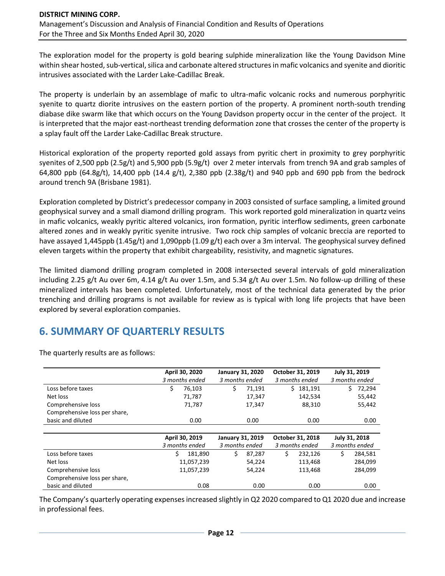The exploration model for the property is gold bearing sulphide mineralization like the Young Davidson Mine within shear hosted, sub-vertical, silica and carbonate altered structures in mafic volcanics and syenite and dioritic intrusives associated with the Larder Lake-Cadillac Break.

The property is underlain by an assemblage of mafic to ultra-mafic volcanic rocks and numerous porphyritic syenite to quartz diorite intrusives on the eastern portion of the property. A prominent north-south trending diabase dike swarm like that which occurs on the Young Davidson property occur in the center of the project. It is interpreted that the major east-northeast trending deformation zone that crosses the center of the property is a splay fault off the Larder Lake-Cadillac Break structure.

Historical exploration of the property reported gold assays from pyritic chert in proximity to grey porphyritic syenites of 2,500 ppb (2.5g/t) and 5,900 ppb (5.9g/t) over 2 meter intervals from trench 9A and grab samples of 64,800 ppb (64.8g/t), 14,400 ppb (14.4 g/t), 2,380 ppb (2.38g/t) and 940 ppb and 690 ppb from the bedrock around trench 9A (Brisbane 1981).

Exploration completed by District's predecessor company in 2003 consisted of surface sampling, a limited ground geophysical survey and a small diamond drilling program. This work reported gold mineralization in quartz veins in mafic volcanics, weakly pyritic altered volcanics, iron formation, pyritic interflow sediments, green carbonate altered zones and in weakly pyritic syenite intrusive. Two rock chip samples of volcanic breccia are reported to have assayed 1,445ppb (1.45g/t) and 1,090ppb (1.09 g/t) each over a 3m interval. The geophysical survey defined eleven targets within the property that exhibit chargeability, resistivity, and magnetic signatures.

The limited diamond drilling program completed in 2008 intersected several intervals of gold mineralization including 2.25 g/t Au over 6m, 4.14 g/t Au over 1.5m, and 5.34 g/t Au over 1.5m. No follow-up drilling of these mineralized intervals has been completed. Unfortunately, most of the technical data generated by the prior trenching and drilling programs is not available for review as is typical with long life projects that have been explored by several exploration companies.

# **6. SUMMARY OF QUARTERLY RESULTS**

|                               | April 30, 2020 | <b>January 31, 2020</b> | October 31, 2019 | July 31, 2019  |
|-------------------------------|----------------|-------------------------|------------------|----------------|
|                               | 3 months ended | 3 months ended          | 3 months ended   | 3 months ended |
| Loss before taxes             | \$<br>76,103   | \$<br>71,191            | \$181,191        | Ś.<br>72,294   |
| Net loss                      | 71,787         | 17,347                  | 142,534          | 55,442         |
| Comprehensive loss            | 71,787         | 17,347                  | 88,310           | 55,442         |
| Comprehensive loss per share, |                |                         |                  |                |
| basic and diluted             | 0.00           | 0.00                    | 0.00             | 0.00           |
|                               |                |                         |                  |                |
|                               | April 30, 2019 | <b>January 31, 2019</b> | October 31, 2018 | July 31, 2018  |
|                               | 3 months ended | 3 months ended          | 3 months ended   | 3 months ended |
| Loss before taxes             | Ś.<br>181,890  | Ś.<br>87.287            | \$<br>232,126    | Ś<br>284,581   |
| Net loss                      | 11,057,239     | 54,224                  | 113,468          | 284,099        |
| Comprehensive loss            | 11,057,239     | 54,224                  | 113,468          | 284,099        |
| Comprehensive loss per share, |                |                         |                  |                |
| basic and diluted             | 0.08           | 0.00                    | 0.00             | 0.00           |

The quarterly results are as follows:

The Company's quarterly operating expenses increased slightly in Q2 2020 compared to Q1 2020 due and increase in professional fees.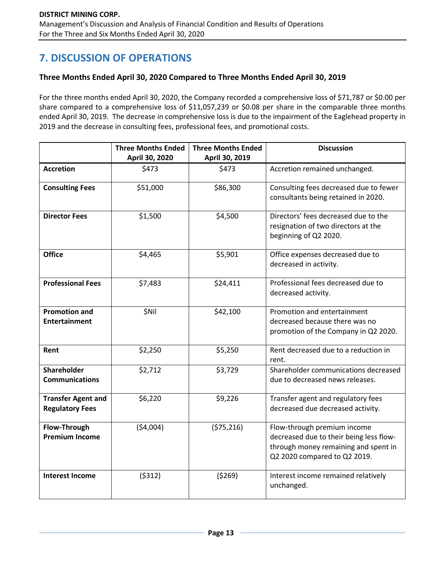# **7. DISCUSSION OF OPERATIONS**

### **Three Months Ended April 30, 2020 Compared to Three Months Ended April 30, 2019**

For the three months ended April 30, 2020, the Company recorded a comprehensive loss of \$71,787 or \$0.00 per share compared to a comprehensive loss of \$11,057,239 or \$0.08 per share in the comparable three months ended April 30, 2019. The decrease in comprehensive loss is due to the impairment of the Eaglehead property in 2019 and the decrease in consulting fees, professional fees, and promotional costs.

|                                                     | <b>Three Months Ended</b><br>April 30, 2020 | <b>Three Months Ended</b><br>April 30, 2019 | <b>Discussion</b>                                                                                                                              |
|-----------------------------------------------------|---------------------------------------------|---------------------------------------------|------------------------------------------------------------------------------------------------------------------------------------------------|
| <b>Accretion</b>                                    | \$473                                       | \$473                                       | Accretion remained unchanged.                                                                                                                  |
| <b>Consulting Fees</b>                              | \$51,000                                    | \$86,300                                    | Consulting fees decreased due to fewer<br>consultants being retained in 2020.                                                                  |
| <b>Director Fees</b>                                | \$1,500                                     | \$4,500                                     | Directors' fees decreased due to the<br>resignation of two directors at the<br>beginning of Q2 2020.                                           |
| <b>Office</b>                                       | \$4,465                                     | \$5,901                                     | Office expenses decreased due to<br>decreased in activity.                                                                                     |
| <b>Professional Fees</b>                            | \$7,483                                     | \$24,411                                    | Professional fees decreased due to<br>decreased activity.                                                                                      |
| <b>Promotion and</b><br><b>Entertainment</b>        | \$Nil                                       | \$42,100                                    | Promotion and entertainment<br>decreased because there was no<br>promotion of the Company in Q2 2020.                                          |
| Rent                                                | \$2,250                                     | \$5,250                                     | Rent decreased due to a reduction in<br>rent.                                                                                                  |
| Shareholder<br><b>Communications</b>                | \$2,712                                     | \$3,729                                     | Shareholder communications decreased<br>due to decreased news releases.                                                                        |
| <b>Transfer Agent and</b><br><b>Regulatory Fees</b> | \$6,220                                     | \$9,226                                     | Transfer agent and regulatory fees<br>decreased due decreased activity.                                                                        |
| Flow-Through<br><b>Premium Income</b>               | (54,004)                                    | (575, 216)                                  | Flow-through premium income<br>decreased due to their being less flow-<br>through money remaining and spent in<br>Q2 2020 compared to Q2 2019. |
| <b>Interest Income</b>                              | (5312)                                      | (5269)                                      | Interest income remained relatively<br>unchanged.                                                                                              |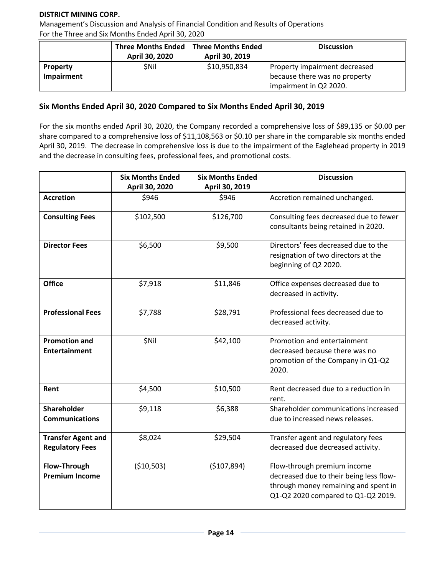### **DISTRICT MINING CORP.**

Management's Discussion and Analysis of Financial Condition and Results of Operations For the Three and Six Months Ended April 30, 2020

|                 | <b>Three Months Ended</b><br>April 30, 2020 | Three Months Ended<br>April 30, 2019 | <b>Discussion</b>             |
|-----------------|---------------------------------------------|--------------------------------------|-------------------------------|
| <b>Property</b> | <b>SNil</b>                                 | \$10,950,834                         | Property impairment decreased |
| Impairment      |                                             |                                      | because there was no property |
|                 |                                             |                                      | impairment in Q2 2020.        |

### **Six Months Ended April 30, 2020 Compared to Six Months Ended April 30, 2019**

For the six months ended April 30, 2020, the Company recorded a comprehensive loss of \$89,135 or \$0.00 per share compared to a comprehensive loss of \$11,108,563 or \$0.10 per share in the comparable six months ended April 30, 2019. The decrease in comprehensive loss is due to the impairment of the Eaglehead property in 2019 and the decrease in consulting fees, professional fees, and promotional costs.

|                                                     | <b>Six Months Ended</b><br>April 30, 2020 | <b>Six Months Ended</b><br>April 30, 2019 | <b>Discussion</b>                                                                                                                                    |
|-----------------------------------------------------|-------------------------------------------|-------------------------------------------|------------------------------------------------------------------------------------------------------------------------------------------------------|
| <b>Accretion</b>                                    | \$946                                     | \$946                                     | Accretion remained unchanged.                                                                                                                        |
| <b>Consulting Fees</b>                              | \$102,500                                 | \$126,700                                 | Consulting fees decreased due to fewer<br>consultants being retained in 2020.                                                                        |
| <b>Director Fees</b>                                | \$6,500                                   | \$9,500                                   | Directors' fees decreased due to the<br>resignation of two directors at the<br>beginning of Q2 2020.                                                 |
| <b>Office</b>                                       | \$7,918                                   | \$11,846                                  | Office expenses decreased due to<br>decreased in activity.                                                                                           |
| <b>Professional Fees</b>                            | \$7,788                                   | \$28,791                                  | Professional fees decreased due to<br>decreased activity.                                                                                            |
| <b>Promotion and</b><br><b>Entertainment</b>        | \$Nil                                     | \$42,100                                  | Promotion and entertainment<br>decreased because there was no<br>promotion of the Company in Q1-Q2<br>2020.                                          |
| Rent                                                | \$4,500                                   | \$10,500                                  | Rent decreased due to a reduction in<br>rent.                                                                                                        |
| <b>Shareholder</b><br><b>Communications</b>         | \$9,118                                   | \$6,388                                   | Shareholder communications increased<br>due to increased news releases.                                                                              |
| <b>Transfer Agent and</b><br><b>Regulatory Fees</b> | \$8,024                                   | \$29,504                                  | Transfer agent and regulatory fees<br>decreased due decreased activity.                                                                              |
| Flow-Through<br><b>Premium Income</b>               | ( \$10,503)                               | (\$107,894)                               | Flow-through premium income<br>decreased due to their being less flow-<br>through money remaining and spent in<br>Q1-Q2 2020 compared to Q1-Q2 2019. |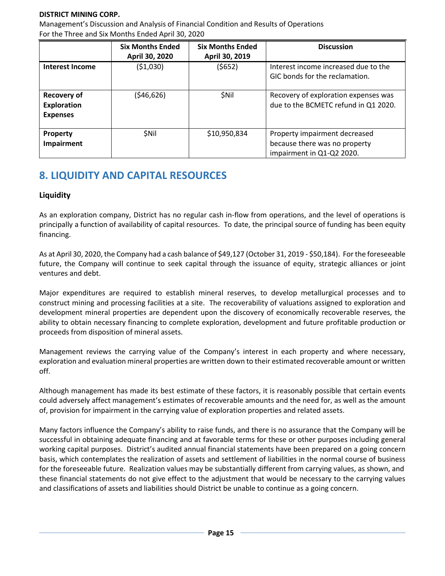### **DISTRICT MINING CORP.**

Management's Discussion and Analysis of Financial Condition and Results of Operations For the Three and Six Months Ended April 30, 2020

|                                                             | <b>Six Months Ended</b><br>April 30, 2020 | <b>Six Months Ended</b><br>April 30, 2019 | <b>Discussion</b>                                                                           |
|-------------------------------------------------------------|-------------------------------------------|-------------------------------------------|---------------------------------------------------------------------------------------------|
| <b>Interest Income</b>                                      | (51,030)                                  | (\$652)                                   | Interest income increased due to the<br>GIC bonds for the reclamation.                      |
| <b>Recovery of</b><br><b>Exploration</b><br><b>Expenses</b> | (\$46,626)                                | \$Nil                                     | Recovery of exploration expenses was<br>due to the BCMETC refund in Q1 2020.                |
| Property<br><b>Impairment</b>                               | <b>SNII</b>                               | \$10,950,834                              | Property impairment decreased<br>because there was no property<br>impairment in Q1-Q2 2020. |

### **8. LIQUIDITY AND CAPITAL RESOURCES**

### **Liquidity**

As an exploration company, District has no regular cash in-flow from operations, and the level of operations is principally a function of availability of capital resources. To date, the principal source of funding has been equity financing.

As at April 30, 2020, the Company had a cash balance of \$49,127 (October 31, 2019 - \$50,184). For the foreseeable future, the Company will continue to seek capital through the issuance of equity, strategic alliances or joint ventures and debt.

Major expenditures are required to establish mineral reserves, to develop metallurgical processes and to construct mining and processing facilities at a site. The recoverability of valuations assigned to exploration and development mineral properties are dependent upon the discovery of economically recoverable reserves, the ability to obtain necessary financing to complete exploration, development and future profitable production or proceeds from disposition of mineral assets.

Management reviews the carrying value of the Company's interest in each property and where necessary, exploration and evaluation mineral properties are written down to their estimated recoverable amount or written off.

Although management has made its best estimate of these factors, it is reasonably possible that certain events could adversely affect management's estimates of recoverable amounts and the need for, as well as the amount of, provision for impairment in the carrying value of exploration properties and related assets.

Many factors influence the Company's ability to raise funds, and there is no assurance that the Company will be successful in obtaining adequate financing and at favorable terms for these or other purposes including general working capital purposes. District's audited annual financial statements have been prepared on a going concern basis, which contemplates the realization of assets and settlement of liabilities in the normal course of business for the foreseeable future. Realization values may be substantially different from carrying values, as shown, and these financial statements do not give effect to the adjustment that would be necessary to the carrying values and classifications of assets and liabilities should District be unable to continue as a going concern.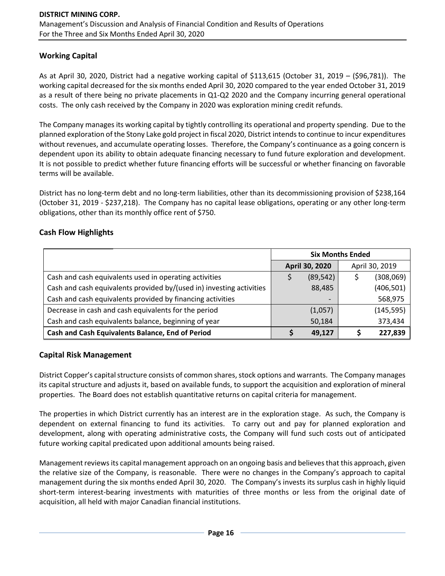### **Working Capital**

As at April 30, 2020, District had a negative working capital of \$113,615 (October 31, 2019 – (\$96,781)). The working capital decreased for the six months ended April 30, 2020 compared to the year ended October 31, 2019 as a result of there being no private placements in Q1-Q2 2020 and the Company incurring general operational costs. The only cash received by the Company in 2020 was exploration mining credit refunds.

The Company manages its working capital by tightly controlling its operational and property spending. Due to the planned exploration of the Stony Lake gold project in fiscal 2020, District intends to continue to incur expenditures without revenues, and accumulate operating losses. Therefore, the Company's continuance as a going concern is dependent upon its ability to obtain adequate financing necessary to fund future exploration and development. It is not possible to predict whether future financing efforts will be successful or whether financing on favorable terms will be available.

District has no long-term debt and no long-term liabilities, other than its decommissioning provision of \$238,164 (October 31, 2019 - \$237,218). The Company has no capital lease obligations, operating or any other long-term obligations, other than its monthly office rent of \$750.

### **Cash Flow Highlights**

|                                                                      | <b>Six Months Ended</b>          |           |            |            |
|----------------------------------------------------------------------|----------------------------------|-----------|------------|------------|
|                                                                      | April 30, 2019<br>April 30, 2020 |           |            |            |
| Cash and cash equivalents used in operating activities               |                                  | (89, 542) |            | (308,069)  |
| Cash and cash equivalents provided by/(used in) investing activities | 88,485                           |           | (406, 501) |            |
| Cash and cash equivalents provided by financing activities           | $\overline{\phantom{0}}$         |           | 568,975    |            |
| Decrease in cash and cash equivalents for the period                 |                                  | (1,057)   |            | (145, 595) |
| Cash and cash equivalents balance, beginning of year                 |                                  | 50,184    |            | 373,434    |
| Cash and Cash Equivalents Balance, End of Period                     | 49,127                           |           | 227,839    |            |

### **Capital Risk Management**

District Copper's capital structure consists of common shares, stock options and warrants. The Company manages its capital structure and adjusts it, based on available funds, to support the acquisition and exploration of mineral properties. The Board does not establish quantitative returns on capital criteria for management.

The properties in which District currently has an interest are in the exploration stage. As such, the Company is dependent on external financing to fund its activities. To carry out and pay for planned exploration and development, along with operating administrative costs, the Company will fund such costs out of anticipated future working capital predicated upon additional amounts being raised.

Management reviews its capital management approach on an ongoing basis and believes that this approach, given the relative size of the Company, is reasonable. There were no changes in the Company's approach to capital management during the six months ended April 30, 2020. The Company's invests its surplus cash in highly liquid short-term interest-bearing investments with maturities of three months or less from the original date of acquisition, all held with major Canadian financial institutions.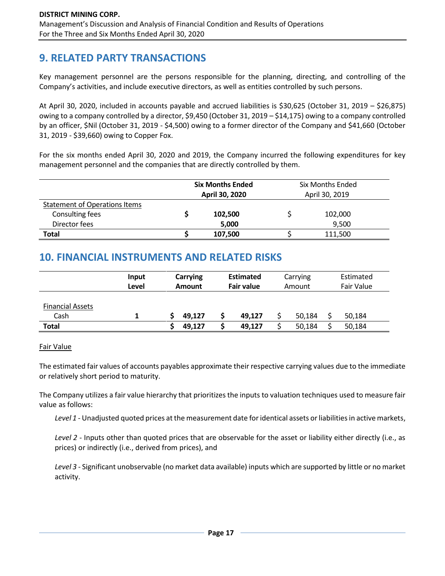## **9. RELATED PARTY TRANSACTIONS**

Key management personnel are the persons responsible for the planning, directing, and controlling of the Company's activities, and include executive directors, as well as entities controlled by such persons.

At April 30, 2020, included in accounts payable and accrued liabilities is \$30,625 (October 31, 2019 – \$26,875) owing to a company controlled by a director, \$9,450 (October 31, 2019 – \$14,175) owing to a company controlled by an officer, \$Nil (October 31, 2019 - \$4,500) owing to a former director of the Company and \$41,660 (October 31, 2019 - \$39,660) owing to Copper Fox.

For the six months ended April 30, 2020 and 2019, the Company incurred the following expenditures for key management personnel and the companies that are directly controlled by them.

|                                      | <b>Six Months Ended</b><br>April 30, 2020 |         | Six Months Ended<br>April 30, 2019 |  |
|--------------------------------------|-------------------------------------------|---------|------------------------------------|--|
| <b>Statement of Operations Items</b> |                                           |         |                                    |  |
| Consulting fees                      |                                           | 102,500 | 102,000                            |  |
| Director fees                        |                                           | 5.000   | 9,500                              |  |
| Total                                |                                           | 107,500 | 111,500                            |  |

# **10. FINANCIAL INSTRUMENTS AND RELATED RISKS**

|                         | Input | Carrying      | <b>Estimated</b>  | Carrying | Estimated  |  |
|-------------------------|-------|---------------|-------------------|----------|------------|--|
|                         | Level | <b>Amount</b> | <b>Fair value</b> | Amount   | Fair Value |  |
| <b>Financial Assets</b> |       |               |                   |          |            |  |
| Cash                    |       | 49.127        | 49.127            | 50,184   | 50,184     |  |
| Total                   |       | 49.127        | 49.127            | 50,184   | 50,184     |  |

### Fair Value

The estimated fair values of accounts payables approximate their respective carrying values due to the immediate or relatively short period to maturity.

The Company utilizes a fair value hierarchy that prioritizes the inputs to valuation techniques used to measure fair value as follows:

*Level 1* - Unadjusted quoted prices at the measurement date for identical assets or liabilities in active markets,

*Level 2* - Inputs other than quoted prices that are observable for the asset or liability either directly (i.e., as prices) or indirectly (i.e., derived from prices), and

*Level 3* - Significant unobservable (no market data available) inputs which are supported by little or no market activity.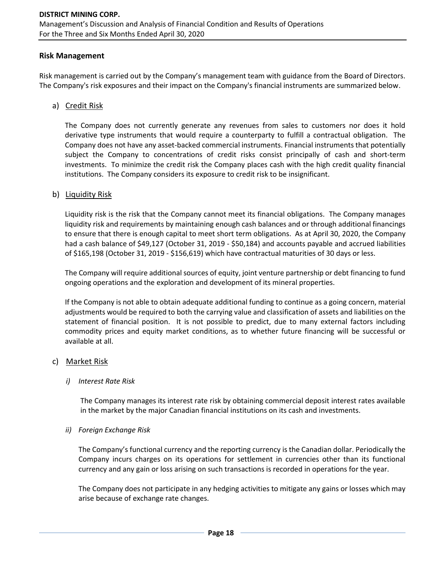### **Risk Management**

Risk management is carried out by the Company's management team with guidance from the Board of Directors. The Company's risk exposures and their impact on the Company's financial instruments are summarized below.

### a) Credit Risk

The Company does not currently generate any revenues from sales to customers nor does it hold derivative type instruments that would require a counterparty to fulfill a contractual obligation. The Company does not have any asset-backed commercial instruments. Financial instruments that potentially subject the Company to concentrations of credit risks consist principally of cash and short-term investments. To minimize the credit risk the Company places cash with the high credit quality financial institutions. The Company considers its exposure to credit risk to be insignificant.

### b) Liquidity Risk

Liquidity risk is the risk that the Company cannot meet its financial obligations. The Company manages liquidity risk and requirements by maintaining enough cash balances and or through additional financings to ensure that there is enough capital to meet short term obligations. As at April 30, 2020, the Company had a cash balance of \$49,127 (October 31, 2019 - \$50,184) and accounts payable and accrued liabilities of \$165,198 (October 31, 2019 - \$156,619) which have contractual maturities of 30 days or less.

The Company will require additional sources of equity, joint venture partnership or debt financing to fund ongoing operations and the exploration and development of its mineral properties.

If the Company is not able to obtain adequate additional funding to continue as a going concern, material adjustments would be required to both the carrying value and classification of assets and liabilities on the statement of financial position. It is not possible to predict, due to many external factors including commodity prices and equity market conditions, as to whether future financing will be successful or available at all.

#### c) Market Risk

### *i) Interest Rate Risk*

The Company manages its interest rate risk by obtaining commercial deposit interest rates available in the market by the major Canadian financial institutions on its cash and investments.

### *ii) Foreign Exchange Risk*

The Company's functional currency and the reporting currency is the Canadian dollar. Periodically the Company incurs charges on its operations for settlement in currencies other than its functional currency and any gain or loss arising on such transactions is recorded in operations for the year.

The Company does not participate in any hedging activities to mitigate any gains or losses which may arise because of exchange rate changes.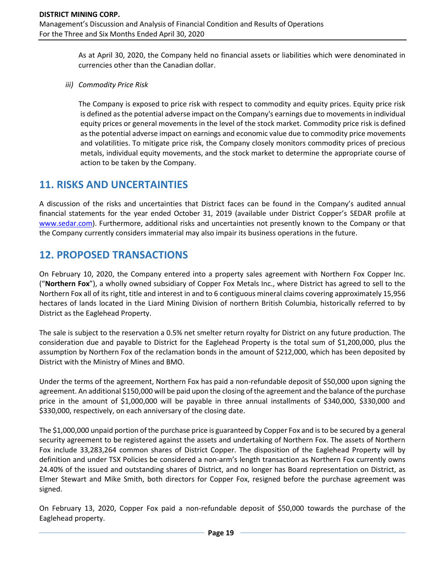As at April 30, 2020, the Company held no financial assets or liabilities which were denominated in currencies other than the Canadian dollar.

*iii) Commodity Price Risk*

The Company is exposed to price risk with respect to commodity and equity prices. Equity price risk is defined as the potential adverse impact on the Company's earnings due to movements in individual equity prices or general movements in the level of the stock market. Commodity price risk is defined as the potential adverse impact on earnings and economic value due to commodity price movements and volatilities. To mitigate price risk, the Company closely monitors commodity prices of precious metals, individual equity movements, and the stock market to determine the appropriate course of action to be taken by the Company.

### **11. RISKS AND UNCERTAINTIES**

A discussion of the risks and uncertainties that District faces can be found in the Company's audited annual financial statements for the year ended October 31, 2019 (available under District Copper's SEDAR profile at [www.sedar.com\)](http://www.sedar.com/). Furthermore, additional risks and uncertainties not presently known to the Company or that the Company currently considers immaterial may also impair its business operations in the future.

## **12. PROPOSED TRANSACTIONS**

On February 10, 2020, the Company entered into a property sales agreement with Northern Fox Copper Inc. ("**Northern Fox**"), a wholly owned subsidiary of Copper Fox Metals Inc., where District has agreed to sell to the Northern Fox all of its right, title and interest in and to 6 contiguous mineral claims covering approximately 15,956 hectares of lands located in the Liard Mining Division of northern British Columbia, historically referred to by District as the Eaglehead Property.

The sale is subject to the reservation a 0.5% net smelter return royalty for District on any future production. The consideration due and payable to District for the Eaglehead Property is the total sum of \$1,200,000, plus the assumption by Northern Fox of the reclamation bonds in the amount of \$212,000, which has been deposited by District with the Ministry of Mines and BMO.

Under the terms of the agreement, Northern Fox has paid a non-refundable deposit of \$50,000 upon signing the agreement. An additional \$150,000 will be paid upon the closing of the agreement and the balance of the purchase price in the amount of \$1,000,000 will be payable in three annual installments of \$340,000, \$330,000 and \$330,000, respectively, on each anniversary of the closing date.

The \$1,000,000 unpaid portion of the purchase price is guaranteed by Copper Fox and is to be secured by a general security agreement to be registered against the assets and undertaking of Northern Fox. The assets of Northern Fox include 33,283,264 common shares of District Copper. The disposition of the Eaglehead Property will by definition and under TSX Policies be considered a non-arm's length transaction as Northern Fox currently owns 24.40% of the issued and outstanding shares of District, and no longer has Board representation on District, as Elmer Stewart and Mike Smith, both directors for Copper Fox, resigned before the purchase agreement was signed.

On February 13, 2020, Copper Fox paid a non-refundable deposit of \$50,000 towards the purchase of the Eaglehead property.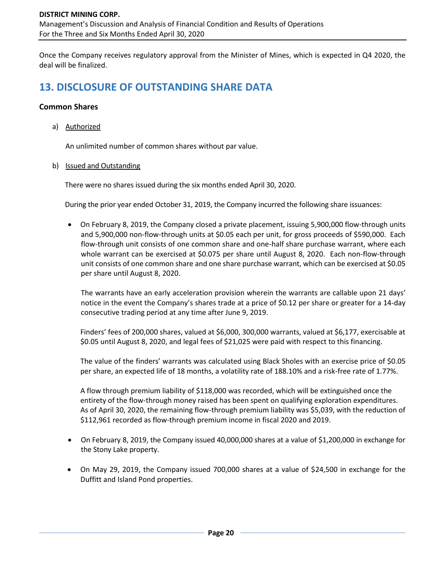Once the Company receives regulatory approval from the Minister of Mines, which is expected in Q4 2020, the deal will be finalized.

# **13. DISCLOSURE OF OUTSTANDING SHARE DATA**

### **Common Shares**

a) Authorized

An unlimited number of common shares without par value.

b) Issued and Outstanding

There were no shares issued during the six months ended April 30, 2020.

During the prior year ended October 31, 2019, the Company incurred the following share issuances:

• On February 8, 2019, the Company closed a private placement, issuing 5,900,000 flow-through units and 5,900,000 non-flow-through units at \$0.05 each per unit, for gross proceeds of \$590,000. Each flow-through unit consists of one common share and one-half share purchase warrant, where each whole warrant can be exercised at \$0.075 per share until August 8, 2020. Each non-flow-through unit consists of one common share and one share purchase warrant, which can be exercised at \$0.05 per share until August 8, 2020.

The warrants have an early acceleration provision wherein the warrants are callable upon 21 days' notice in the event the Company's shares trade at a price of \$0.12 per share or greater for a 14-day consecutive trading period at any time after June 9, 2019.

Finders' fees of 200,000 shares, valued at \$6,000, 300,000 warrants, valued at \$6,177, exercisable at \$0.05 until August 8, 2020, and legal fees of \$21,025 were paid with respect to this financing.

The value of the finders' warrants was calculated using Black Sholes with an exercise price of \$0.05 per share, an expected life of 18 months, a volatility rate of 188.10% and a risk-free rate of 1.77%.

A flow through premium liability of \$118,000 was recorded, which will be extinguished once the entirety of the flow-through money raised has been spent on qualifying exploration expenditures. As of April 30, 2020, the remaining flow-through premium liability was \$5,039, with the reduction of \$112,961 recorded as flow-through premium income in fiscal 2020 and 2019.

- On February 8, 2019, the Company issued 40,000,000 shares at a value of \$1,200,000 in exchange for the Stony Lake property.
- On May 29, 2019, the Company issued 700,000 shares at a value of \$24,500 in exchange for the Duffitt and Island Pond properties.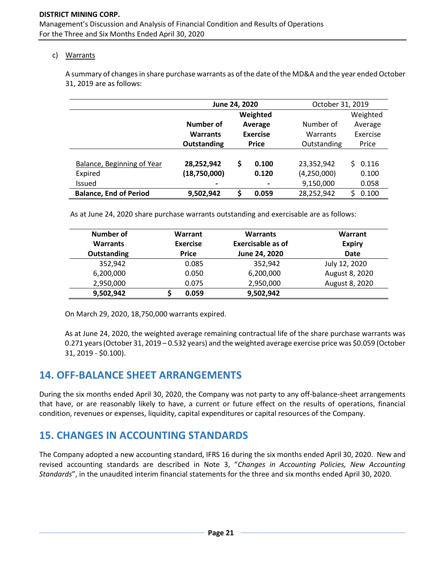### c) Warrants

A summary of changes in share purchase warrants as of the date of the MD&A and the year ended October 31, 2019 are as follows:

|                               | June 24, 2020   |    | October 31, 2019 |             |             |
|-------------------------------|-----------------|----|------------------|-------------|-------------|
|                               |                 |    | Weighted         |             | Weighted    |
|                               | Number of       |    | Average          | Number of   | Average     |
|                               | <b>Warrants</b> |    | <b>Exercise</b>  | Warrants    | Exercise    |
|                               | Outstanding     |    | <b>Price</b>     | Outstanding | Price       |
|                               |                 |    |                  |             |             |
| Balance, Beginning of Year    | 28,252,942      | \$ | 0.100            | 23,352,942  | Ŝ.<br>0.116 |
| Expired                       | (18,750,000)    |    | 0.120            | (4,250,000) | 0.100       |
| <b>Issued</b>                 |                 |    |                  | 9,150,000   | 0.058       |
| <b>Balance, End of Period</b> | 9,502,942       | Ś  | 0.059            | 28,252,942  | 0.100       |

As at June 24, 2020 share purchase warrants outstanding and exercisable are as follows:

| Number of<br><b>Warrants</b> | Warrant<br><b>Exercise</b> | <b>Warrants</b><br><b>Exercisable as of</b> | Warrant<br><b>Expiry</b> |
|------------------------------|----------------------------|---------------------------------------------|--------------------------|
| <b>Outstanding</b>           | <b>Price</b>               | June 24, 2020                               | <b>Date</b>              |
| 352,942                      | 0.085                      | 352,942                                     | July 12, 2020            |
| 6,200,000                    | 0.050                      | 6,200,000                                   | August 8, 2020           |
| 2,950,000                    | 0.075                      | 2,950,000                                   | August 8, 2020           |
| 9,502,942                    | 0.059                      | 9,502,942                                   |                          |

On March 29, 2020, 18,750,000 warrants expired.

As at June 24, 2020, the weighted average remaining contractual life of the share purchase warrants was 0.271 years (October 31, 2019 – 0.532 years) and the weighted average exercise price was \$0.059 (October 31, 2019 - \$0.100).

## **14. OFF-BALANCE SHEET ARRANGEMENTS**

During the six months ended April 30, 2020, the Company was not party to any off-balance-sheet arrangements that have, or are reasonably likely to have, a current or future effect on the results of operations, financial condition, revenues or expenses, liquidity, capital expenditures or capital resources of the Company.

## **15. CHANGES IN ACCOUNTING STANDARDS**

The Company adopted a new accounting standard, IFRS 16 during the six months ended April 30, 2020. New and revised accounting standards are described in Note 3, "*Changes in Accounting Policies, New Accounting Standards*", in the unaudited interim financial statements for the three and six months ended April 30, 2020.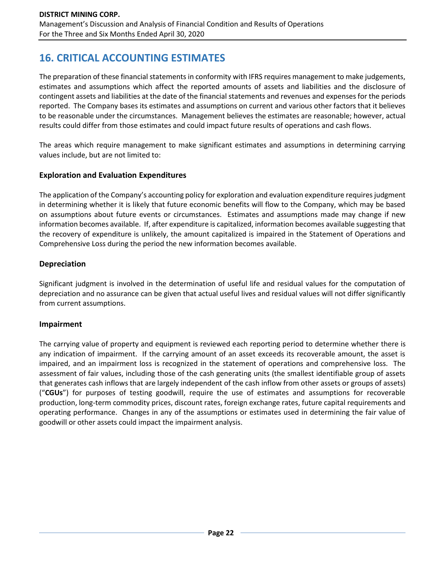# **16. CRITICAL ACCOUNTING ESTIMATES**

The preparation of these financial statements in conformity with IFRS requires management to make judgements, estimates and assumptions which affect the reported amounts of assets and liabilities and the disclosure of contingent assets and liabilities at the date of the financial statements and revenues and expenses for the periods reported. The Company bases its estimates and assumptions on current and various other factors that it believes to be reasonable under the circumstances. Management believes the estimates are reasonable; however, actual results could differ from those estimates and could impact future results of operations and cash flows.

The areas which require management to make significant estimates and assumptions in determining carrying values include, but are not limited to:

### **Exploration and Evaluation Expenditures**

The application of the Company's accounting policy for exploration and evaluation expenditure requires judgment in determining whether it is likely that future economic benefits will flow to the Company, which may be based on assumptions about future events or circumstances. Estimates and assumptions made may change if new information becomes available. If, after expenditure is capitalized, information becomes available suggesting that the recovery of expenditure is unlikely, the amount capitalized is impaired in the Statement of Operations and Comprehensive Loss during the period the new information becomes available.

### **Depreciation**

Significant judgment is involved in the determination of useful life and residual values for the computation of depreciation and no assurance can be given that actual useful lives and residual values will not differ significantly from current assumptions.

### **Impairment**

The carrying value of property and equipment is reviewed each reporting period to determine whether there is any indication of impairment. If the carrying amount of an asset exceeds its recoverable amount, the asset is impaired, and an impairment loss is recognized in the statement of operations and comprehensive loss. The assessment of fair values, including those of the cash generating units (the smallest identifiable group of assets that generates cash inflows that are largely independent of the cash inflow from other assets or groups of assets) ("**CGUs**") for purposes of testing goodwill, require the use of estimates and assumptions for recoverable production, long-term commodity prices, discount rates, foreign exchange rates, future capital requirements and operating performance. Changes in any of the assumptions or estimates used in determining the fair value of goodwill or other assets could impact the impairment analysis.